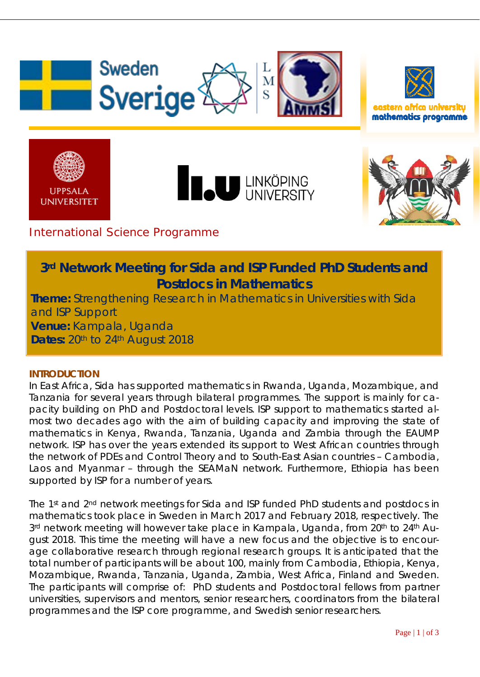



mathematics programme







## International Science Programme

# **3rd Network Meeting for Sida and ISP Funded PhD Students and Postdocs in Mathematics**

**Theme:** Strengthening Research in Mathematics in Universities with Sida and ISP Support **Venue:** Kampala, Uganda **Dates: 20th to 24th August 2018** 

## **INTRODUCTION**

In East Africa, Sida has supported mathematics in Rwanda, Uganda, Mozambique, and Tanzania for several years through bilateral programmes. The support is mainly for capacity building on PhD and Postdoctoral levels. ISP support to mathematics started almost two decades ago with the aim of building capacity and improving the state of mathematics in Kenya, Rwanda, Tanzania, Uganda and Zambia through the EAUMP network. ISP has over the years extended its support to West African countries through the network of PDEs and Control Theory and to South-East Asian countries – Cambodia, Laos and Myanmar – through the SEAMaN network. Furthermore, Ethiopia has been supported by ISP for a number of years.

The 1st and 2nd network meetings for Sida and ISP funded PhD students and postdocs in mathematics took place in Sweden in March 2017 and February 2018, respectively. The 3<sup>rd</sup> network meeting will however take place in Kampala, Uganda, from 20<sup>th</sup> to 24<sup>th</sup> August 2018. This time the meeting will have a new focus and the objective is to encourage collaborative research through regional research groups. It is anticipated that the total number of participants will be about 100, mainly from Cambodia, Ethiopia, Kenya, Mozambique, Rwanda, Tanzania, Uganda, Zambia, West Africa, Finland and Sweden. The participants will comprise of: PhD students and Postdoctoral fellows from partner universities, supervisors and mentors, senior researchers, coordinators from the bilateral programmes and the ISP core programme, and Swedish senior researchers.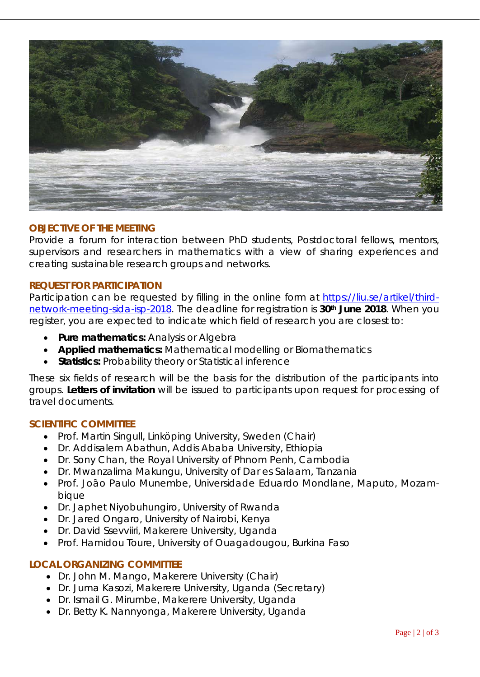

### **OBJECTIVE OF THE MEETING**

Provide a forum for interaction between PhD students, Postdoctoral fellows, mentors, supervisors and researchers in mathematics with a view of sharing experiences and creating sustainable research groups and networks.

#### **REQUEST FOR PARTICIPATION**

Participation can be requested by filling in the online form at [https://liu.se/artikel/third](https://liu.se/artikel/third-network-meeting-sida-isp-2018)[network-meeting-sida-isp-2018.](https://liu.se/artikel/third-network-meeting-sida-isp-2018) The deadline for registration is **30th June 2018**. When you register, you are expected to indicate which field of research you are closest to:

- **Pure mathematics:** Analysis or Algebra
- **Applied mathematics:** Mathematical modelling or Biomathematics
- **Statistics:** Probability theory or Statistical inference

These six fields of research will be the basis for the distribution of the participants into groups. **Letters of invitation** will be issued to participants upon request for processing of travel documents.

#### **SCIENTIFIC COMMITTEE**

- Prof. Martin Singull, Linköping University, Sweden (Chair)
- Dr. Addisalem Abathun, Addis Ababa University, Ethiopia
- Dr. Sony Chan, the Royal University of Phnom Penh, Cambodia
- Dr. Mwanzalima Makungu, University of Dar es Salaam, Tanzania
- Prof. João Paulo Munembe, Universidade Eduardo Mondlane, Maputo, Mozambique
- Dr. Japhet Niyobuhungiro, University of Rwanda
- Dr. Jared Ongaro, University of Nairobi, Kenya
- Dr. David Ssevviiri, Makerere University, Uganda
- Prof. Hamidou Toure, University of Ouagadougou, Burkina Faso

#### **LOCAL ORGANIZING COMMITTEE**

- Dr. John M. Mango, Makerere University (Chair)
- Dr. Juma Kasozi, Makerere University, Uganda (Secretary)
- Dr. Ismail G. Mirumbe, Makerere University, Uganda
- Dr. Betty K. Nannyonga, Makerere University, Uganda